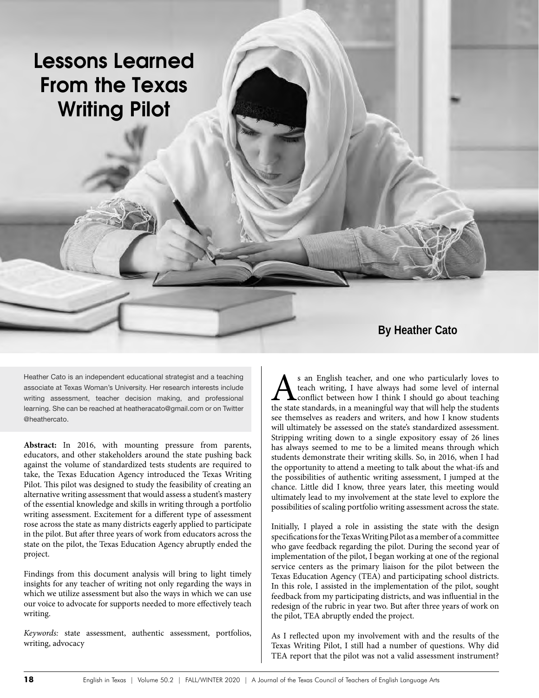# **Lessons Learned From the Texas Writing Pilot**

# **By Heather Cato**

Heather Cato is an independent educational strategist and a teaching associate at Texas Woman's University. Her research interests include writing assessment, teacher decision making, and professional learning. She can be reached at heatheracato@gmail.com or on Twitter @heathercato.

**Abstract:** In 2016, with mounting pressure from parents, educators, and other stakeholders around the state pushing back against the volume of standardized tests students are required to take, the Texas Education Agency introduced the Texas Writing Pilot. This pilot was designed to study the feasibility of creating an alternative writing assessment that would assess a student's mastery of the essential knowledge and skills in writing through a portfolio writing assessment. Excitement for a different type of assessment rose across the state as many districts eagerly applied to participate in the pilot. But after three years of work from educators across the state on the pilot, the Texas Education Agency abruptly ended the project.

Findings from this document analysis will bring to light timely insights for any teacher of writing not only regarding the ways in which we utilize assessment but also the ways in which we can use our voice to advocate for supports needed to more effectively teach writing.

*Keywords:* state assessment, authentic assessment, portfolios, writing, advocacy

As an English teacher, and one who particularly loves to teach writing, I have always had some level of internal the state standards, in a meaningful way that will help the students teach writing, I have always had some level of internal conflict between how I think I should go about teaching see themselves as readers and writers, and how I know students will ultimately be assessed on the state's standardized assessment. Stripping writing down to a single expository essay of 26 lines has always seemed to me to be a limited means through which students demonstrate their writing skills. So, in 2016, when I had the opportunity to attend a meeting to talk about the what-ifs and the possibilities of authentic writing assessment, I jumped at the chance. Little did I know, three years later, this meeting would ultimately lead to my involvement at the state level to explore the possibilities of scaling portfolio writing assessment across the state.

Initially, I played a role in assisting the state with the design specifications for the Texas Writing Pilot as a member of a committee who gave feedback regarding the pilot. During the second year of implementation of the pilot, I began working at one of the regional service centers as the primary liaison for the pilot between the Texas Education Agency (TEA) and participating school districts. In this role, I assisted in the implementation of the pilot, sought feedback from my participating districts, and was influential in the redesign of the rubric in year two. But after three years of work on the pilot, TEA abruptly ended the project.

As I reflected upon my involvement with and the results of the Texas Writing Pilot, I still had a number of questions. Why did TEA report that the pilot was not a valid assessment instrument?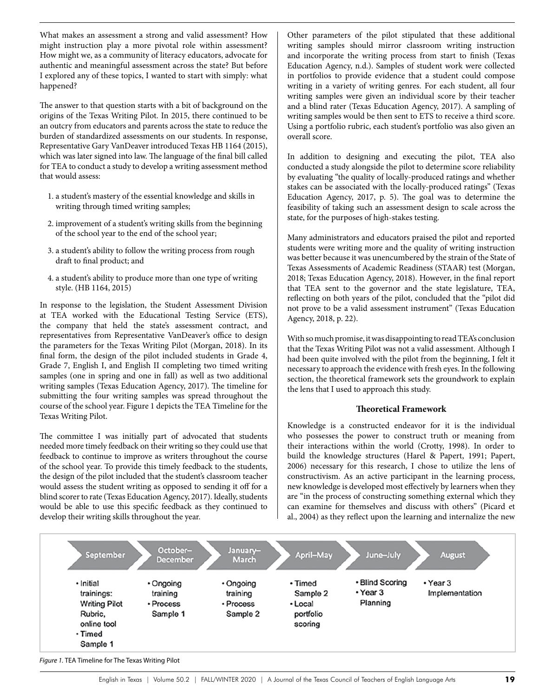What makes an assessment a strong and valid assessment? How might instruction play a more pivotal role within assessment? How might we, as a community of literacy educators, advocate for authentic and meaningful assessment across the state? But before I explored any of these topics, I wanted to start with simply: what happened?

The answer to that question starts with a bit of background on the origins of the Texas Writing Pilot. In 2015, there continued to be an outcry from educators and parents across the state to reduce the burden of standardized assessments on our students. In response, Representative Gary VanDeaver introduced Texas HB 1164 (2015), which was later signed into law. The language of the final bill called for TEA to conduct a study to develop a writing assessment method that would assess:

- 1. a student's mastery of the essential knowledge and skills in writing through timed writing samples;
- 2. improvement of a student's writing skills from the beginning of the school year to the end of the school year;
- 3. a student's ability to follow the writing process from rough draft to final product; and
- 4. a student's ability to produce more than one type of writing style. (HB 1164, 2015)

In response to the legislation, the Student Assessment Division at TEA worked with the Educational Testing Service (ETS), the company that held the state's assessment contract, and representatives from Representative VanDeaver's office to design the parameters for the Texas Writing Pilot (Morgan, 2018). In its final form, the design of the pilot included students in Grade 4, Grade 7, English I, and English II completing two timed writing samples (one in spring and one in fall) as well as two additional writing samples (Texas Education Agency, 2017). The timeline for submitting the four writing samples was spread throughout the course of the school year. Figure 1 depicts the TEA Timeline for the Texas Writing Pilot.

The committee I was initially part of advocated that students needed more timely feedback on their writing so they could use that feedback to continue to improve as writers throughout the course of the school year. To provide this timely feedback to the students, the design of the pilot included that the student's classroom teacher would assess the student writing as opposed to sending it off for a blind scorer to rate (Texas Education Agency, 2017). Ideally, students would be able to use this specific feedback as they continued to develop their writing skills throughout the year.

Other parameters of the pilot stipulated that these additional writing samples should mirror classroom writing instruction and incorporate the writing process from start to finish (Texas Education Agency, n.d.). Samples of student work were collected in portfolios to provide evidence that a student could compose writing in a variety of writing genres. For each student, all four writing samples were given an individual score by their teacher and a blind rater (Texas Education Agency, 2017). A sampling of writing samples would be then sent to ETS to receive a third score. Using a portfolio rubric, each student's portfolio was also given an overall score.

In addition to designing and executing the pilot, TEA also conducted a study alongside the pilot to determine score reliability by evaluating "the quality of locally-produced ratings and whether stakes can be associated with the locally-produced ratings" (Texas Education Agency, 2017, p. 5). The goal was to determine the feasibility of taking such an assessment design to scale across the state, for the purposes of high-stakes testing.

Many administrators and educators praised the pilot and reported students were writing more and the quality of writing instruction was better because it was unencumbered by the strain of the State of Texas Assessments of Academic Readiness (STAAR) test (Morgan, 2018; Texas Education Agency, 2018). However, in the final report that TEA sent to the governor and the state legislature, TEA, reflecting on both years of the pilot, concluded that the "pilot did not prove to be a valid assessment instrument" (Texas Education Agency, 2018, p. 22).

With so much promise, it was disappointing to read TEA's conclusion that the Texas Writing Pilot was not a valid assessment. Although I had been quite involved with the pilot from the beginning, I felt it necessary to approach the evidence with fresh eyes. In the following section, the theoretical framework sets the groundwork to explain the lens that I used to approach this study.

## **Theoretical Framework**

Knowledge is a constructed endeavor for it is the individual who possesses the power to construct truth or meaning from their interactions within the world (Crotty, 1998). In order to build the knowledge structures (Harel & Papert, 1991; Papert, 2006) necessary for this research, I chose to utilize the lens of constructivism. As an active participant in the learning process, new knowledge is developed most effectively by learners when they are "in the process of constructing something external which they can examine for themselves and discuss with others" (Picard et al., 2004) as they reflect upon the learning and internalize the new



*Figure 1.* TEA Timeline for The Texas Writing Pilot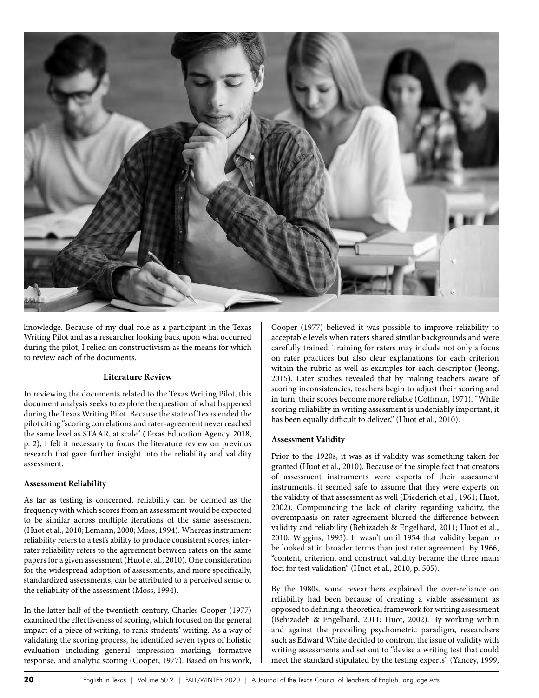

knowledge. Because of my dual role as a participant in the Texas Writing Pilot and as a researcher looking back upon what occurred during the pilot, I relied on constructivism as the means for which to review each of the documents.

# **Literature Review**

In reviewing the documents related to the Texas Writing Pilot, this document analysis seeks to explore the question of what happened during the Texas Writing Pilot. Because the state of Texas ended the pilot citing "scoring correlations and rater-agreement never reached the same level as STAAR, at scale" (Texas Education Agency, 2018, p. 2), I felt it necessary to focus the literature review on previous research that gave further insight into the reliability and validity assessment.

#### **Assessment Reliability**

As far as testing is concerned, reliability can be defined as the frequency with which scores from an assessment would be expected to be similar across multiple iterations of the same assessment (Huot et al., 2010; Lemann, 2000; Moss, 1994). Whereas instrument reliability refers to a test's ability to produce consistent scores, interrater reliability refers to the agreement between raters on the same papers for a given assessment (Huot et al., 2010). One consideration for the widespread adoption of assessments, and more specifically, standardized assessments, can be attributed to a perceived sense of the reliability of the assessment (Moss, 1994).

In the latter half of the twentieth century, Charles Cooper (1977) examined the effectiveness of scoring, which focused on the general impact of a piece of writing, to rank students' writing. As a way of validating the scoring process, he identified seven types of holistic evaluation including general impression marking, formative response, and analytic scoring (Cooper, 1977). Based on his work, Cooper (1977) believed it was possible to improve reliability to acceptable levels when raters shared similar backgrounds and were carefully trained. Training for raters may include not only a focus on rater practices but also clear explanations for each criterion within the rubric as well as examples for each descriptor (Jeong, 2015). Later studies revealed that by making teachers aware of scoring inconsistencies, teachers begin to adjust their scoring and in turn, their scores become more reliable (Coffman, 1971). "While scoring reliability in writing assessment is undeniably important, it has been equally difficult to deliver," (Huot et al., 2010).

## **Assessment Validity**

Prior to the 1920s, it was as if validity was something taken for granted (Huot et al., 2010). Because of the simple fact that creators of assessment instruments were experts of their assessment instruments, it seemed safe to assume that they were experts on the validity of that assessment as well (Diederich et al., 1961; Huot, 2002). Compounding the lack of clarity regarding validity, the overemphasis on rater agreement blurred the difference between validity and reliability (Behizadeh & Engelhard, 2011; Huot et al., 2010; Wiggins, 1993). It wasn't until 1954 that validity began to be looked at in broader terms than just rater agreement. By 1966, "content, criterion, and construct validity became the three main foci for test validation" (Huot et al., 2010, p. 505).

By the 1980s, some researchers explained the over-reliance on reliability had been because of creating a viable assessment as opposed to defining a theoretical framework for writing assessment (Behizadeh & Engelhard, 2011; Huot, 2002). By working within and against the prevailing psychometric paradigm, researchers such as Edward White decided to confront the issue of validity with writing assessments and set out to "devise a writing test that could meet the standard stipulated by the testing experts" (Yancey, 1999,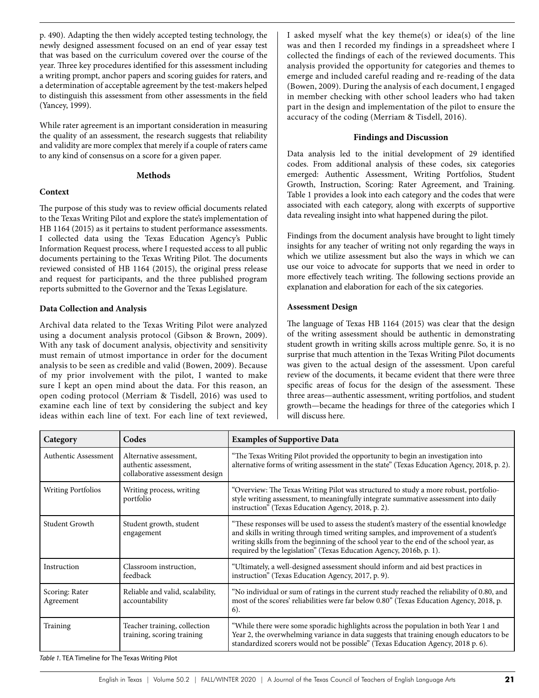p. 490). Adapting the then widely accepted testing technology, the newly designed assessment focused on an end of year essay test that was based on the curriculum covered over the course of the year. Three key procedures identified for this assessment including a writing prompt, anchor papers and scoring guides for raters, and a determination of acceptable agreement by the test-makers helped to distinguish this assessment from other assessments in the field (Yancey, 1999).

While rater agreement is an important consideration in measuring the quality of an assessment, the research suggests that reliability and validity are more complex that merely if a couple of raters came to any kind of consensus on a score for a given paper.

# **Methods**

## **Context**

The purpose of this study was to review official documents related to the Texas Writing Pilot and explore the state's implementation of HB 1164 (2015) as it pertains to student performance assessments. I collected data using the Texas Education Agency's Public Information Request process, where I requested access to all public documents pertaining to the Texas Writing Pilot. The documents reviewed consisted of HB 1164 (2015), the original press release and request for participants, and the three published program reports submitted to the Governor and the Texas Legislature.

# **Data Collection and Analysis**

Archival data related to the Texas Writing Pilot were analyzed using a document analysis protocol (Gibson & Brown, 2009). With any task of document analysis, objectivity and sensitivity must remain of utmost importance in order for the document analysis to be seen as credible and valid (Bowen, 2009). Because of my prior involvement with the pilot, I wanted to make sure I kept an open mind about the data. For this reason, an open coding protocol (Merriam & Tisdell, 2016) was used to examine each line of text by considering the subject and key ideas within each line of text. For each line of text reviewed,

I asked myself what the key theme(s) or idea(s) of the line was and then I recorded my findings in a spreadsheet where I collected the findings of each of the reviewed documents. This analysis provided the opportunity for categories and themes to emerge and included careful reading and re-reading of the data (Bowen, 2009). During the analysis of each document, I engaged in member checking with other school leaders who had taken part in the design and implementation of the pilot to ensure the accuracy of the coding (Merriam & Tisdell, 2016).

# **Findings and Discussion**

Data analysis led to the initial development of 29 identified codes. From additional analysis of these codes, six categories emerged: Authentic Assessment, Writing Portfolios, Student Growth, Instruction, Scoring: Rater Agreement, and Training. Table 1 provides a look into each category and the codes that were associated with each category, along with excerpts of supportive data revealing insight into what happened during the pilot.

Findings from the document analysis have brought to light timely insights for any teacher of writing not only regarding the ways in which we utilize assessment but also the ways in which we can use our voice to advocate for supports that we need in order to more effectively teach writing. The following sections provide an explanation and elaboration for each of the six categories.

# **Assessment Design**

The language of Texas HB 1164 (2015) was clear that the design of the writing assessment should be authentic in demonstrating student growth in writing skills across multiple genre. So, it is no surprise that much attention in the Texas Writing Pilot documents was given to the actual design of the assessment. Upon careful review of the documents, it became evident that there were three specific areas of focus for the design of the assessment. These three areas—authentic assessment, writing portfolios, and student growth—became the headings for three of the categories which I will discuss here.

| Category                    | Codes                                                                               | <b>Examples of Supportive Data</b>                                                                                                                                                                                                                                                                                                               |
|-----------------------------|-------------------------------------------------------------------------------------|--------------------------------------------------------------------------------------------------------------------------------------------------------------------------------------------------------------------------------------------------------------------------------------------------------------------------------------------------|
| Authentic Assessment        | Alternative assessment,<br>authentic assessment,<br>collaborative assessment design | "The Texas Writing Pilot provided the opportunity to begin an investigation into<br>alternative forms of writing assessment in the state" (Texas Education Agency, 2018, p. 2).                                                                                                                                                                  |
| <b>Writing Portfolios</b>   | Writing process, writing<br>portfolio                                               | "Overview: The Texas Writing Pilot was structured to study a more robust, portfolio-<br>style writing assessment, to meaningfully integrate summative assessment into daily<br>instruction" (Texas Education Agency, 2018, p. 2).                                                                                                                |
| Student Growth              | Student growth, student<br>engagement                                               | "These responses will be used to assess the student's mastery of the essential knowledge<br>and skills in writing through timed writing samples, and improvement of a student's<br>writing skills from the beginning of the school year to the end of the school year, as<br>required by the legislation" (Texas Education Agency, 2016b, p. 1). |
| Instruction                 | Classroom instruction,<br>feedback                                                  | "Ultimately, a well-designed assessment should inform and aid best practices in<br>instruction" (Texas Education Agency, 2017, p. 9).                                                                                                                                                                                                            |
| Scoring: Rater<br>Agreement | Reliable and valid, scalability,<br>accountability                                  | "No individual or sum of ratings in the current study reached the reliability of 0.80, and<br>most of the scores' reliabilities were far below 0.80" (Texas Education Agency, 2018, p.<br>$6$ ).                                                                                                                                                 |
| Training                    | Teacher training, collection<br>training, scoring training                          | "While there were some sporadic highlights across the population in both Year 1 and<br>Year 2, the overwhelming variance in data suggests that training enough educators to be<br>standardized scorers would not be possible" (Texas Education Agency, 2018 p. 6).                                                                               |

*Table 1.* TEA Timeline for The Texas Writing Pilot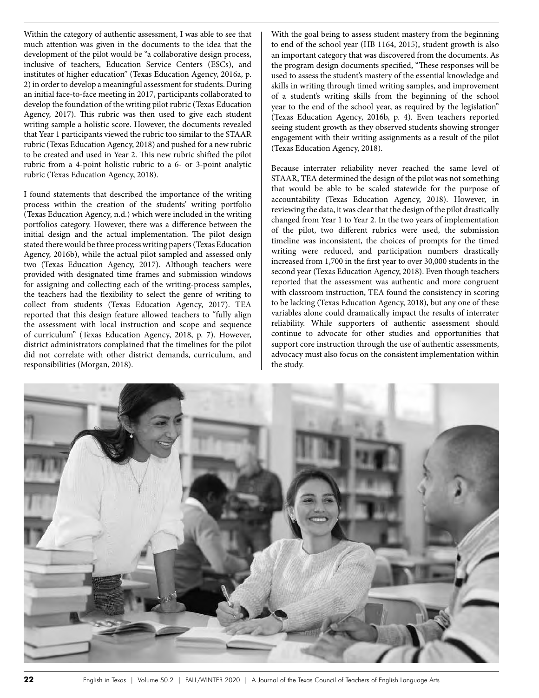Within the category of authentic assessment, I was able to see that much attention was given in the documents to the idea that the development of the pilot would be "a collaborative design process, inclusive of teachers, Education Service Centers (ESCs), and institutes of higher education" (Texas Education Agency, 2016a, p. 2) in order to develop a meaningful assessment for students. During an initial face-to-face meeting in 2017, participants collaborated to develop the foundation of the writing pilot rubric (Texas Education Agency, 2017). This rubric was then used to give each student writing sample a holistic score. However, the documents revealed that Year 1 participants viewed the rubric too similar to the STAAR rubric (Texas Education Agency, 2018) and pushed for a new rubric to be created and used in Year 2. This new rubric shifted the pilot rubric from a 4-point holistic rubric to a 6- or 3-point analytic rubric (Texas Education Agency, 2018).

I found statements that described the importance of the writing process within the creation of the students' writing portfolio (Texas Education Agency, n.d.) which were included in the writing portfolios category. However, there was a difference between the initial design and the actual implementation. The pilot design stated there would be three process writing papers (Texas Education Agency, 2016b), while the actual pilot sampled and assessed only two (Texas Education Agency, 2017). Although teachers were provided with designated time frames and submission windows for assigning and collecting each of the writing-process samples, the teachers had the flexibility to select the genre of writing to collect from students (Texas Education Agency, 2017). TEA reported that this design feature allowed teachers to "fully align the assessment with local instruction and scope and sequence of curriculum" (Texas Education Agency, 2018, p. 7). However, district administrators complained that the timelines for the pilot did not correlate with other district demands, curriculum, and responsibilities (Morgan, 2018).

With the goal being to assess student mastery from the beginning to end of the school year (HB 1164, 2015), student growth is also an important category that was discovered from the documents. As the program design documents specified, "These responses will be used to assess the student's mastery of the essential knowledge and skills in writing through timed writing samples, and improvement of a student's writing skills from the beginning of the school year to the end of the school year, as required by the legislation" (Texas Education Agency, 2016b, p. 4). Even teachers reported seeing student growth as they observed students showing stronger engagement with their writing assignments as a result of the pilot (Texas Education Agency, 2018).

Because interrater reliability never reached the same level of STAAR, TEA determined the design of the pilot was not something that would be able to be scaled statewide for the purpose of accountability (Texas Education Agency, 2018). However, in reviewing the data, it was clear that the design of the pilot drastically changed from Year 1 to Year 2. In the two years of implementation of the pilot, two different rubrics were used, the submission timeline was inconsistent, the choices of prompts for the timed writing were reduced, and participation numbers drastically increased from 1,700 in the first year to over 30,000 students in the second year (Texas Education Agency, 2018). Even though teachers reported that the assessment was authentic and more congruent with classroom instruction, TEA found the consistency in scoring to be lacking (Texas Education Agency, 2018), but any one of these variables alone could dramatically impact the results of interrater reliability. While supporters of authentic assessment should continue to advocate for other studies and opportunities that support core instruction through the use of authentic assessments, advocacy must also focus on the consistent implementation within the study.

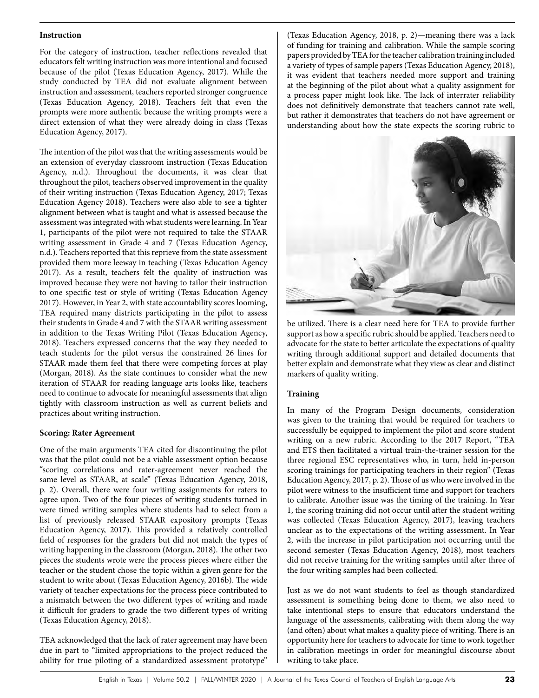#### **Instruction**

For the category of instruction, teacher reflections revealed that educators felt writing instruction was more intentional and focused because of the pilot (Texas Education Agency, 2017). While the study conducted by TEA did not evaluate alignment between instruction and assessment, teachers reported stronger congruence (Texas Education Agency, 2018). Teachers felt that even the prompts were more authentic because the writing prompts were a direct extension of what they were already doing in class (Texas Education Agency, 2017).

The intention of the pilot was that the writing assessments would be an extension of everyday classroom instruction (Texas Education Agency, n.d.). Throughout the documents, it was clear that throughout the pilot, teachers observed improvement in the quality of their writing instruction (Texas Education Agency, 2017; Texas Education Agency 2018). Teachers were also able to see a tighter alignment between what is taught and what is assessed because the assessment was integrated with what students were learning. In Year 1, participants of the pilot were not required to take the STAAR writing assessment in Grade 4 and 7 (Texas Education Agency, n.d.). Teachers reported that this reprieve from the state assessment provided them more leeway in teaching (Texas Education Agency 2017). As a result, teachers felt the quality of instruction was improved because they were not having to tailor their instruction to one specific test or style of writing (Texas Education Agency 2017). However, in Year 2, with state accountability scores looming, TEA required many districts participating in the pilot to assess their students in Grade 4 and 7 with the STAAR writing assessment in addition to the Texas Writing Pilot (Texas Education Agency, 2018). Teachers expressed concerns that the way they needed to teach students for the pilot versus the constrained 26 lines for STAAR made them feel that there were competing forces at play (Morgan, 2018). As the state continues to consider what the new iteration of STAAR for reading language arts looks like, teachers need to continue to advocate for meaningful assessments that align tightly with classroom instruction as well as current beliefs and practices about writing instruction.

## **Scoring: Rater Agreement**

One of the main arguments TEA cited for discontinuing the pilot was that the pilot could not be a viable assessment option because "scoring correlations and rater-agreement never reached the same level as STAAR, at scale" (Texas Education Agency, 2018, p. 2). Overall, there were four writing assignments for raters to agree upon. Two of the four pieces of writing students turned in were timed writing samples where students had to select from a list of previously released STAAR expository prompts (Texas Education Agency, 2017). This provided a relatively controlled field of responses for the graders but did not match the types of writing happening in the classroom (Morgan, 2018). The other two pieces the students wrote were the process pieces where either the teacher or the student chose the topic within a given genre for the student to write about (Texas Education Agency, 2016b). The wide variety of teacher expectations for the process piece contributed to a mismatch between the two different types of writing and made it difficult for graders to grade the two different types of writing (Texas Education Agency, 2018).

TEA acknowledged that the lack of rater agreement may have been due in part to "limited appropriations to the project reduced the ability for true piloting of a standardized assessment prototype"

(Texas Education Agency, 2018, p. 2)—meaning there was a lack of funding for training and calibration. While the sample scoring papers provided by TEA for the teacher calibration training included a variety of types of sample papers (Texas Education Agency, 2018), it was evident that teachers needed more support and training at the beginning of the pilot about what a quality assignment for a process paper might look like. The lack of interrater reliability does not definitively demonstrate that teachers cannot rate well, but rather it demonstrates that teachers do not have agreement or understanding about how the state expects the scoring rubric to



be utilized. There is a clear need here for TEA to provide further support as how a specific rubric should be applied. Teachers need to advocate for the state to better articulate the expectations of quality writing through additional support and detailed documents that better explain and demonstrate what they view as clear and distinct markers of quality writing.

# **Training**

In many of the Program Design documents, consideration was given to the training that would be required for teachers to successfully be equipped to implement the pilot and score student writing on a new rubric. According to the 2017 Report, "TEA and ETS then facilitated a virtual train-the-trainer session for the three regional ESC representatives who, in turn, held in-person scoring trainings for participating teachers in their region" (Texas Education Agency, 2017, p. 2). Those of us who were involved in the pilot were witness to the insufficient time and support for teachers to calibrate. Another issue was the timing of the training. In Year 1, the scoring training did not occur until after the student writing was collected (Texas Education Agency, 2017), leaving teachers unclear as to the expectations of the writing assessment. In Year 2, with the increase in pilot participation not occurring until the second semester (Texas Education Agency, 2018), most teachers did not receive training for the writing samples until after three of the four writing samples had been collected.

Just as we do not want students to feel as though standardized assessment is something being done to them, we also need to take intentional steps to ensure that educators understand the language of the assessments, calibrating with them along the way (and often) about what makes a quality piece of writing. There is an opportunity here for teachers to advocate for time to work together in calibration meetings in order for meaningful discourse about writing to take place.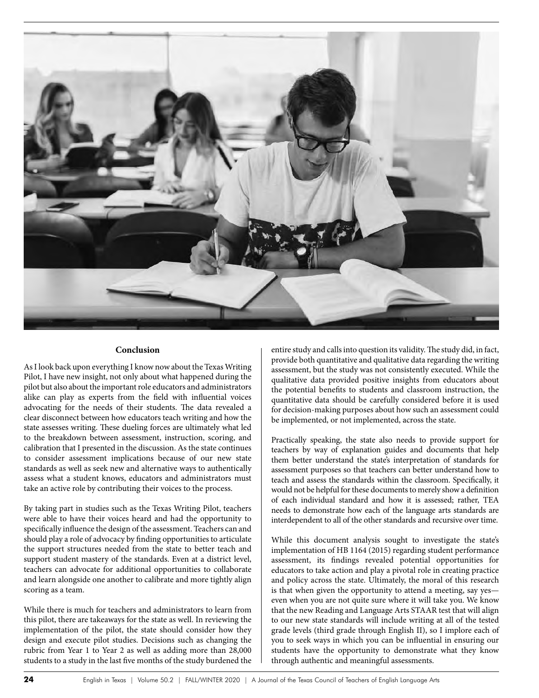

#### **Conclusion**

As I look back upon everything I know now about the Texas Writing Pilot, I have new insight, not only about what happened during the pilot but also about the important role educators and administrators alike can play as experts from the field with influential voices advocating for the needs of their students. The data revealed a clear disconnect between how educators teach writing and how the state assesses writing. These dueling forces are ultimately what led to the breakdown between assessment, instruction, scoring, and calibration that I presented in the discussion. As the state continues to consider assessment implications because of our new state standards as well as seek new and alternative ways to authentically assess what a student knows, educators and administrators must take an active role by contributing their voices to the process.

By taking part in studies such as the Texas Writing Pilot, teachers were able to have their voices heard and had the opportunity to specifically influence the design of the assessment. Teachers can and should play a role of advocacy by finding opportunities to articulate the support structures needed from the state to better teach and support student mastery of the standards. Even at a district level, teachers can advocate for additional opportunities to collaborate and learn alongside one another to calibrate and more tightly align scoring as a team.

While there is much for teachers and administrators to learn from this pilot, there are takeaways for the state as well. In reviewing the implementation of the pilot, the state should consider how they design and execute pilot studies. Decisions such as changing the rubric from Year 1 to Year 2 as well as adding more than 28,000 students to a study in the last five months of the study burdened the entire study and calls into question its validity. The study did, in fact, provide both quantitative and qualitative data regarding the writing assessment, but the study was not consistently executed. While the qualitative data provided positive insights from educators about the potential benefits to students and classroom instruction, the quantitative data should be carefully considered before it is used for decision-making purposes about how such an assessment could be implemented, or not implemented, across the state.

Practically speaking, the state also needs to provide support for teachers by way of explanation guides and documents that help them better understand the state's interpretation of standards for assessment purposes so that teachers can better understand how to teach and assess the standards within the classroom. Specifically, it would not be helpful for these documents to merely show a definition of each individual standard and how it is assessed; rather, TEA needs to demonstrate how each of the language arts standards are interdependent to all of the other standards and recursive over time.

While this document analysis sought to investigate the state's implementation of HB 1164 (2015) regarding student performance assessment, its findings revealed potential opportunities for educators to take action and play a pivotal role in creating practice and policy across the state. Ultimately, the moral of this research is that when given the opportunity to attend a meeting, say yes even when you are not quite sure where it will take you. We know that the new Reading and Language Arts STAAR test that will align to our new state standards will include writing at all of the tested grade levels (third grade through English II), so I implore each of you to seek ways in which you can be influential in ensuring our students have the opportunity to demonstrate what they know through authentic and meaningful assessments.